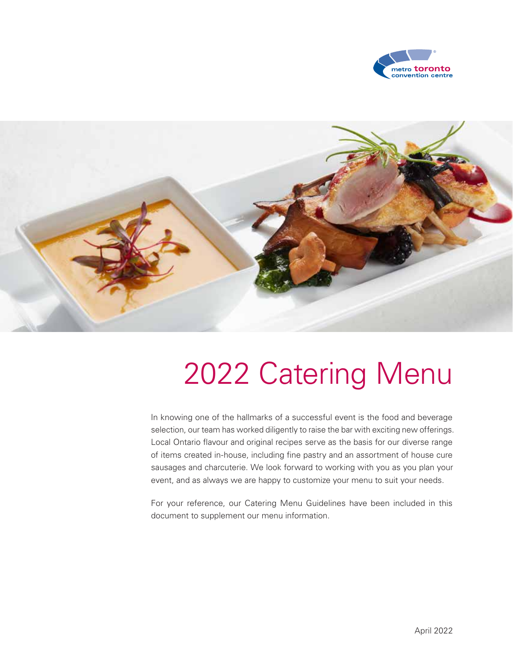



# 2022 Catering Menu

In knowing one of the hallmarks of a successful event is the food and beverage selection, our team has worked diligently to raise the bar with exciting new offerings. Local Ontario flavour and original recipes serve as the basis for our diverse range of items created in-house, including fine pastry and an assortment of house cure sausages and charcuterie. We look forward to working with you as you plan your event, and as always we are happy to customize your menu to suit your needs.

For your reference, our Catering Menu Guidelines have been included in this document to supplement our menu information.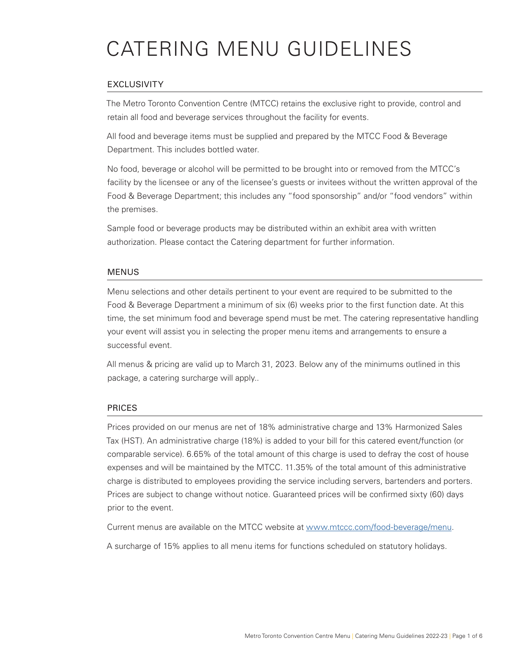# CATERING MENU GUIDELINES

### EXCLUSIVITY

The Metro Toronto Convention Centre (MTCC) retains the exclusive right to provide, control and retain all food and beverage services throughout the facility for events.

All food and beverage items must be supplied and prepared by the MTCC Food & Beverage Department. This includes bottled water.

No food, beverage or alcohol will be permitted to be brought into or removed from the MTCC's facility by the licensee or any of the licensee's guests or invitees without the written approval of the Food & Beverage Department; this includes any "food sponsorship" and/or "food vendors" within the premises.

Sample food or beverage products may be distributed within an exhibit area with written authorization. Please contact the Catering department for further information.

#### MENUS

Menu selections and other details pertinent to your event are required to be submitted to the Food & Beverage Department a minimum of six (6) weeks prior to the first function date. At this time, the set minimum food and beverage spend must be met. The catering representative handling your event will assist you in selecting the proper menu items and arrangements to ensure a successful event.

All menus & pricing are valid up to March 31, 2023. Below any of the minimums outlined in this package, a catering surcharge will apply..

#### PRICES

Prices provided on our menus are net of 18% administrative charge and 13% Harmonized Sales Tax (HST). An administrative charge (18%) is added to your bill for this catered event/function (or comparable service). 6.65% of the total amount of this charge is used to defray the cost of house expenses and will be maintained by the MTCC. 11.35% of the total amount of this administrative charge is distributed to employees providing the service including servers, bartenders and porters. Prices are subject to change without notice. Guaranteed prices will be confirmed sixty (60) days prior to the event.

Current menus are available on the MTCC website at www.mtccc.com/food-beverage/menu.

A surcharge of 15% applies to all menu items for functions scheduled on statutory holidays.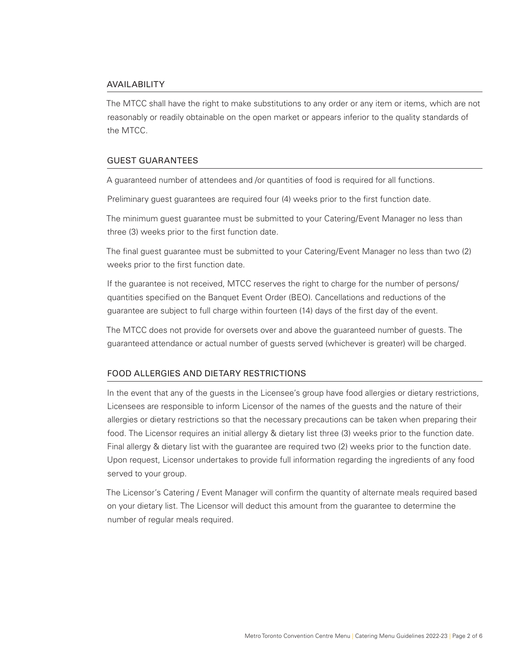#### AVAILABILITY

The MTCC shall have the right to make substitutions to any order or any item or items, which are not reasonably or readily obtainable on the open market or appears inferior to the quality standards of the MTCC.

#### GUEST GUARANTEES

A guaranteed number of attendees and /or quantities of food is required for all functions.

Preliminary guest guarantees are required four (4) weeks prior to the first function date.

The minimum guest guarantee must be submitted to your Catering/Event Manager no less than three (3) weeks prior to the first function date.

The final guest guarantee must be submitted to your Catering/Event Manager no less than two (2) weeks prior to the first function date.

If the guarantee is not received, MTCC reserves the right to charge for the number of persons/ quantities specified on the Banquet Event Order (BEO). Cancellations and reductions of the guarantee are subject to full charge within fourteen (14) days of the first day of the event.

The MTCC does not provide for oversets over and above the guaranteed number of guests. The guaranteed attendance or actual number of guests served (whichever is greater) will be charged.

#### FOOD ALLERGIES AND DIETARY RESTRICTIONS

In the event that any of the guests in the Licensee's group have food allergies or dietary restrictions, Licensees are responsible to inform Licensor of the names of the guests and the nature of their allergies or dietary restrictions so that the necessary precautions can be taken when preparing their food. The Licensor requires an initial allergy & dietary list three (3) weeks prior to the function date. Final allergy & dietary list with the guarantee are required two (2) weeks prior to the function date. Upon request, Licensor undertakes to provide full information regarding the ingredients of any food served to your group.

The Licensor's Catering / Event Manager will confirm the quantity of alternate meals required based on your dietary list. The Licensor will deduct this amount from the guarantee to determine the number of regular meals required.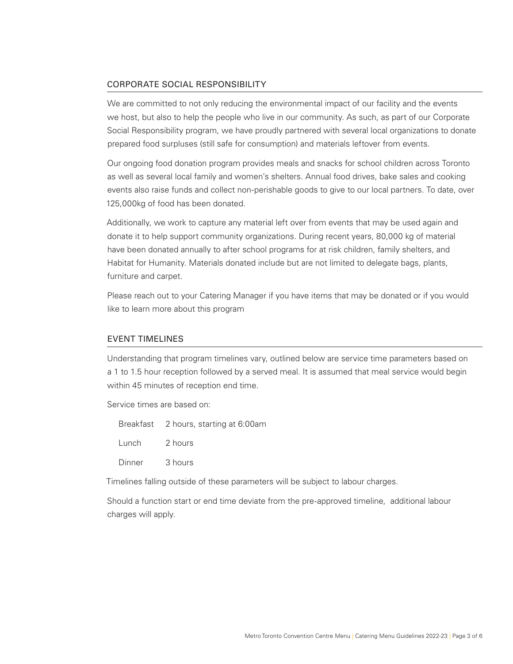#### CORPORATE SOCIAL RESPONSIBILITY

We are committed to not only reducing the environmental impact of our facility and the events we host, but also to help the people who live in our community. As such, as part of our Corporate Social Responsibility program, we have proudly partnered with several local organizations to donate prepared food surpluses (still safe for consumption) and materials leftover from events.

Our ongoing food donation program provides meals and snacks for school children across Toronto as well as several local family and women's shelters. Annual food drives, bake sales and cooking events also raise funds and collect non-perishable goods to give to our local partners. To date, over 125,000kg of food has been donated.

Additionally, we work to capture any material left over from events that may be used again and donate it to help support community organizations. During recent years, 80,000 kg of material have been donated annually to after school programs for at risk children, family shelters, and Habitat for Humanity. Materials donated include but are not limited to delegate bags, plants, furniture and carpet.

Please reach out to your Catering Manager if you have items that may be donated or if you would like to learn more about this program

#### EVENT TIMELINES

Understanding that program timelines vary, outlined below are service time parameters based on a 1 to 1.5 hour reception followed by a served meal. It is assumed that meal service would begin within 45 minutes of reception end time.

Service times are based on:

Breakfast 2 hours, starting at 6:00am Lunch 2 hours Dinner 3 hours

Timelines falling outside of these parameters will be subject to labour charges.

Should a function start or end time deviate from the pre-approved timeline, additional labour charges will apply.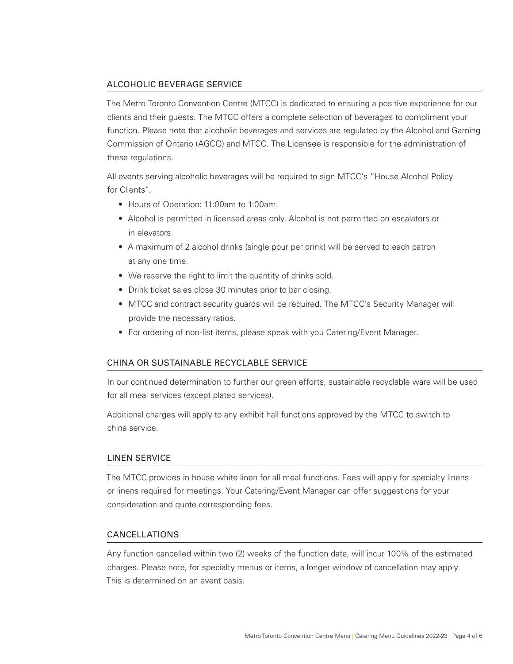#### ALCOHOLIC BEVERAGE SERVICE

The Metro Toronto Convention Centre (MTCC) is dedicated to ensuring a positive experience for our clients and their guests. The MTCC offers a complete selection of beverages to compliment your function. Please note that alcoholic beverages and services are regulated by the Alcohol and Gaming Commission of Ontario (AGCO) and MTCC. The Licensee is responsible for the administration of these regulations.

All events serving alcoholic beverages will be required to sign MTCC's "House Alcohol Policy for Clients".

- Hours of Operation: 11:00am to 1:00am.
- Alcohol is permitted in licensed areas only. Alcohol is not permitted on escalators or in elevators.
- A maximum of 2 alcohol drinks (single pour per drink) will be served to each patron at any one time.
- We reserve the right to limit the quantity of drinks sold.
- Drink ticket sales close 30 minutes prior to bar closing.
- MTCC and contract security guards will be required. The MTCC's Security Manager will provide the necessary ratios.
- For ordering of non-list items, please speak with you Catering/Event Manager.

#### CHINA OR SUSTAINABLE RECYCLABLE SERVICE

In our continued determination to further our green efforts, sustainable recyclable ware will be used for all meal services (except plated services).

Additional charges will apply to any exhibit hall functions approved by the MTCC to switch to china service.

#### LINEN SERVICE

The MTCC provides in house white linen for all meal functions. Fees will apply for specialty linens or linens required for meetings. Your Catering/Event Manager can offer suggestions for your consideration and quote corresponding fees.

#### CANCELLATIONS

Any function cancelled within two (2) weeks of the function date, will incur 100% of the estimated charges. Please note, for specialty menus or items, a longer window of cancellation may apply. This is determined on an event basis.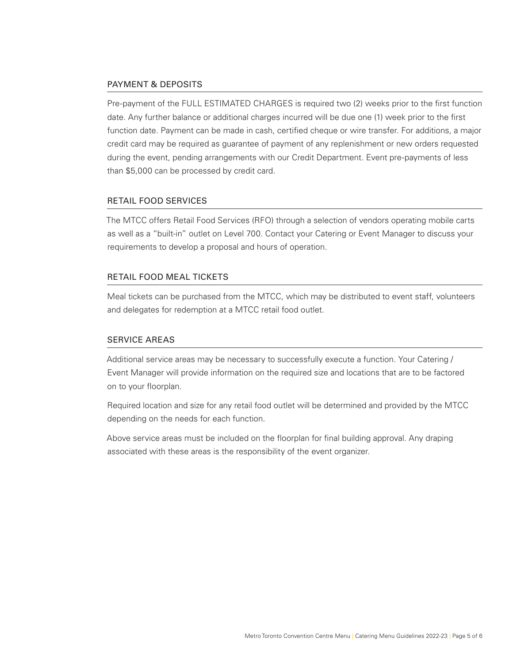#### PAYMENT & DEPOSITS

Pre-payment of the FULL ESTIMATED CHARGES is required two (2) weeks prior to the first function date. Any further balance or additional charges incurred will be due one (1) week prior to the first function date. Payment can be made in cash, certified cheque or wire transfer. For additions, a major credit card may be required as guarantee of payment of any replenishment or new orders requested during the event, pending arrangements with our Credit Department. Event pre-payments of less than \$5,000 can be processed by credit card.

#### RETAIL FOOD SERVICES

The MTCC offers Retail Food Services (RFO) through a selection of vendors operating mobile carts as well as a "built-in" outlet on Level 700. Contact your Catering or Event Manager to discuss your requirements to develop a proposal and hours of operation.

#### RETAIL FOOD MEAL TICKETS

Meal tickets can be purchased from the MTCC, which may be distributed to event staff, volunteers and delegates for redemption at a MTCC retail food outlet.

#### SERVICE AREAS

Additional service areas may be necessary to successfully execute a function. Your Catering / Event Manager will provide information on the required size and locations that are to be factored on to your floorplan.

Required location and size for any retail food outlet will be determined and provided by the MTCC depending on the needs for each function.

Above service areas must be included on the floorplan for final building approval. Any draping associated with these areas is the responsibility of the event organizer.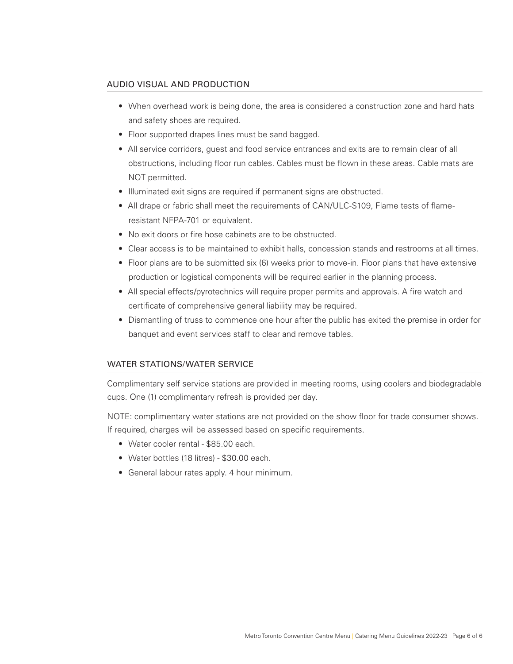#### AUDIO VISUAL AND PRODUCTION

- When overhead work is being done, the area is considered a construction zone and hard hats and safety shoes are required.
- Floor supported drapes lines must be sand bagged.
- All service corridors, guest and food service entrances and exits are to remain clear of all obstructions, including floor run cables. Cables must be flown in these areas. Cable mats are NOT permitted.
- Illuminated exit signs are required if permanent signs are obstructed.
- All drape or fabric shall meet the requirements of CAN/ULC-S109, Flame tests of flameresistant NFPA-701 or equivalent.
- No exit doors or fire hose cabinets are to be obstructed.
- Clear access is to be maintained to exhibit halls, concession stands and restrooms at all times.
- Floor plans are to be submitted six (6) weeks prior to move-in. Floor plans that have extensive production or logistical components will be required earlier in the planning process.
- All special effects/pyrotechnics will require proper permits and approvals. A fire watch and certificate of comprehensive general liability may be required.
- Dismantling of truss to commence one hour after the public has exited the premise in order for banquet and event services staff to clear and remove tables.

#### WATER STATIONS/WATER SERVICE

Complimentary self service stations are provided in meeting rooms, using coolers and biodegradable cups. One (1) complimentary refresh is provided per day.

NOTE: complimentary water stations are not provided on the show floor for trade consumer shows. If required, charges will be assessed based on specific requirements.

- Water cooler rental \$85.00 each.
- Water bottles (18 litres) \$30.00 each.
- General labour rates apply. 4 hour minimum.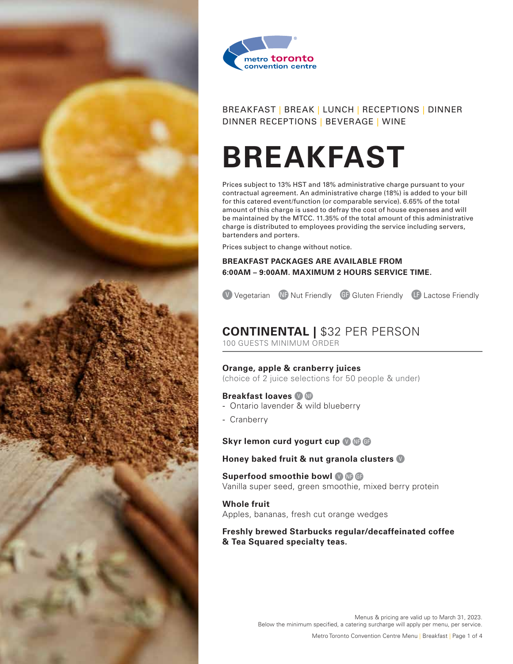



# **BREAKFAST**

Prices subject to 13% HST and 18% administrative charge pursuant to your contractual agreement. An administrative charge (18%) is added to your bill for this catered event/function (or comparable service). 6.65% of the total amount of this charge is used to defray the cost of house expenses and will be maintained by the MTCC. 11.35% of the total amount of this administrative charge is distributed to employees providing the service including servers, bartenders and porters.

Prices subject to change without notice.

#### **BREAKFAST PACKAGES ARE AVAILABLE FROM 6:00AM – 9:00AM. MAXIMUM 2 HOURS SERVICE TIME.**

**V** Vegetarian **ND** Nut Friendly **GD** Gluten Friendly **LD** Lactose Friendly

# **CONTINENTAL |** \$32 PER PERSON

100 GUESTS MINIMUM ORDER

#### **Orange, apple & cranberry juices**

(choice of 2 juice selections for 50 people & under)

#### **Breakfast loaves <sup>O</sup>**

- Ontario lavender & wild blueberry
- Cranberry

#### **Skyr lemon curd yogurt cup O C**

#### **Honey baked fruit & nut granola clusters** D

**Superfood smoothie bowl <sup>O</sup> C** Vanilla super seed, green smoothie, mixed berry protein

**Whole fruit** Apples, bananas, fresh cut orange wedges

#### **Freshly brewed Starbucks regular/decaffeinated coffee & Tea Squared specialty teas.**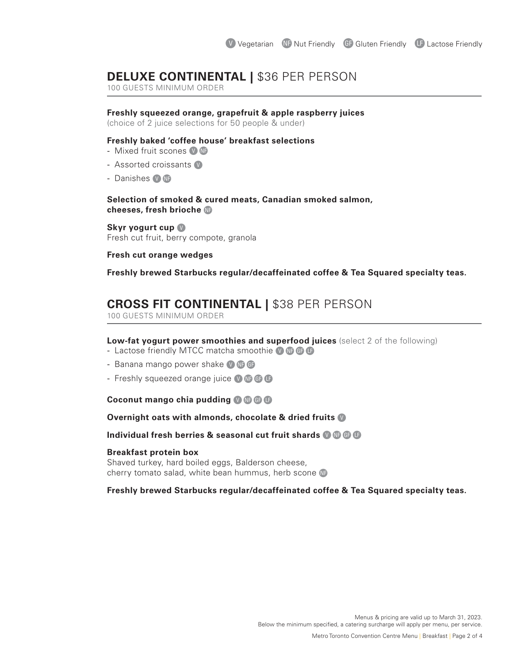## **DELUXE CONTINENTAL | \$36 PER PERSON**

100 GUESTS MINIMUM ORDER

#### **Freshly squeezed orange, grapefruit & apple raspberry juices**

(choice of 2 juice selections for 50 people & under)

#### **Freshly baked 'coffee house' breakfast selections**

- Mixed fruit scones  $\blacksquare$
- Assorted croissants
- Danishes **O NF**

**Selection of smoked & cured meats, Canadian smoked salmon,** cheeses, fresh brioche

**Skyr yogurt cup** Fresh cut fruit, berry compote, granola

#### **Fresh cut orange wedges**

**Freshly brewed Starbucks regular/decaffeinated coffee & Tea Squared specialty teas.**

## **CROSS FIT CONTINENTAL |** \$38 PER PERSON

100 GUESTS MINIMUM ORDER

#### **Low-fat yogurt power smoothies and superfood juices** (select 2 of the following)

- Lactose friendly MTCC matcha smoothie  $\bigcirc \mathbf{\oplus G}$
- Banana mango power shake  $\bigcirc$   $\bigcirc$   $\bigcirc$
- Freshly squeezed orange juice  $\mathbf{Q}$   $\mathbf{G}$   $\mathbf{G}$

#### **Coconut mango chia pudding 0 0 0 0**

#### **Overnight oats with almonds, chocolate & dried fruits** D

#### **Individual fresh berries & seasonal cut fruit shards @ @ @ G**

#### **Breakfast protein box**

Shaved turkey, hard boiled eggs, Balderson cheese, cherry tomato salad, white bean hummus, herb scone

#### **Freshly brewed Starbucks regular/decaffeinated coffee & Tea Squared specialty teas.**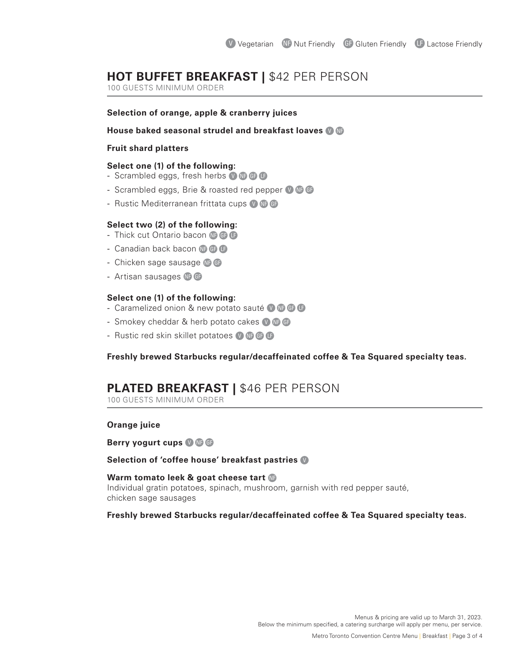## **HOT BUFFET BREAKFAST |** \$42 PER PERSON

100 GUESTS MINIMUM ORDER

#### **Selection of orange, apple & cranberry juices**

#### **House baked seasonal strudel and breakfast loaves**  $\blacksquare$

#### **Fruit shard platters**

#### **Select one (1) of the following:**

- Scrambled eggs, fresh herbs  $\mathbf{0} \oplus \mathbf{0}$
- Scrambled eggs, Brie & roasted red pepper  $\blacksquare$   $\blacksquare$
- Rustic Mediterranean frittata cups  $\bullet$   $\bullet$   $\bullet$

#### **Select two (2) of the following:**

- Thick cut Ontario bacon  $\mathbf{C}$ B
- Canadian back bacon  $\mathbf{G} \oplus \mathbf{G}$
- Chicken sage sausage  $\mathbb{C}$   $\mathbb{C}$
- Artisan sausages  $\oplus$   $\oplus$

#### **Select one (1) of the following:**

- Caramelized onion & new potato sauté  $\mathbf{0} \oplus \mathbf{0}$
- Smokey cheddar & herb potato cakes  $\bullet$   $\bullet$   $\bullet$
- Rustic red skin skillet potatoes  $\mathbf{Q}$  **OCABB**

#### **Freshly brewed Starbucks regular/decaffeinated coffee & Tea Squared specialty teas.**

## **PLATED BREAKFAST |** \$46 PER PERSON

100 GUESTS MINIMUM ORDER

#### **Orange juice**

**Berry yogurt cups O C G** 

#### **Selection of 'coffee house' breakfast pastries** D

#### **Warm tomato leek & goat cheese tart** Individual gratin potatoes, spinach, mushroom, garnish with red pepper sauté,

chicken sage sausages

#### **Freshly brewed Starbucks regular/decaffeinated coffee & Tea Squared specialty teas.**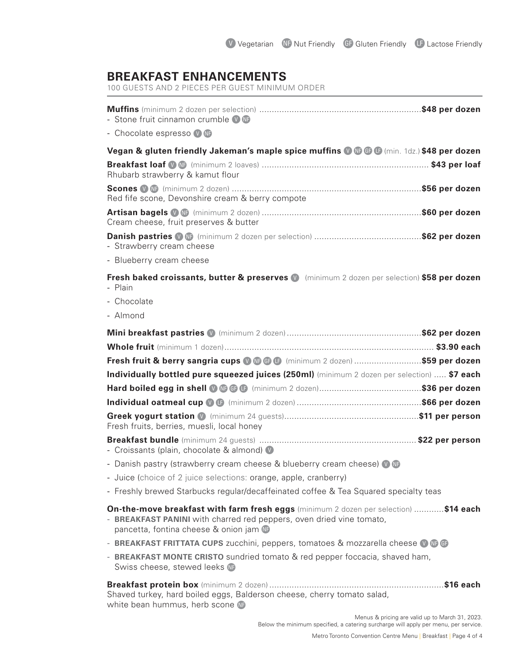# **BREAKFAST ENHANCEMENTS**

100 GUESTS AND 2 PIECES PER GUEST MINIMUM ORDER

| - Stone fruit cinnamon crumble V NB                                                                                                                                                                  |                                                 |
|------------------------------------------------------------------------------------------------------------------------------------------------------------------------------------------------------|-------------------------------------------------|
| - Chocolate espresso V                                                                                                                                                                               |                                                 |
| Vegan & gluten friendly Jakeman's maple spice muffins @ @ @ (min. 1dz.) \$48 per dozen                                                                                                               |                                                 |
| Rhubarb strawberry & kamut flour                                                                                                                                                                     |                                                 |
| Red fife scone, Devonshire cream & berry compote                                                                                                                                                     |                                                 |
| Cream cheese, fruit preserves & butter                                                                                                                                                               |                                                 |
| - Strawberry cream cheese                                                                                                                                                                            |                                                 |
| - Blueberry cream cheese                                                                                                                                                                             |                                                 |
| Fresh baked croissants, butter & preserves (D) (minimum 2 dozen per selection) \$58 per dozen<br>- Plain<br>- Chocolate<br>- Almond                                                                  |                                                 |
|                                                                                                                                                                                                      |                                                 |
|                                                                                                                                                                                                      |                                                 |
| Fresh fruit & berry sangria cups @ . @ . (minimum 2 dozen) \$59 per dozen                                                                                                                            |                                                 |
| Individually bottled pure squeezed juices (250ml) (minimum 2 dozen per selection)  \$7 each                                                                                                          |                                                 |
|                                                                                                                                                                                                      |                                                 |
|                                                                                                                                                                                                      |                                                 |
| Fresh fruits, berries, muesli, local honey                                                                                                                                                           |                                                 |
| - Croissants (plain, chocolate & almond) V                                                                                                                                                           |                                                 |
| - Danish pastry (strawberry cream cheese & blueberry cream cheese) <b>OG</b>                                                                                                                         |                                                 |
| - Juice (choice of 2 juice selections: orange, apple, cranberry)                                                                                                                                     |                                                 |
| - Freshly brewed Starbucks regular/decaffeinated coffee & Tea Squared specialty teas                                                                                                                 |                                                 |
| On-the-move breakfast with farm fresh eggs (minimum 2 dozen per selection) \$14 each<br>- BREAKFAST PANINI with charred red peppers, oven dried vine tomato,<br>pancetta, fontina cheese & onion jam |                                                 |
| - BREAKFAST FRITTATA CUPS zucchini, peppers, tomatoes & mozzarella cheese <b>O GB</b>                                                                                                                |                                                 |
| - BREAKFAST MONTE CRISTO sundried tomato & red pepper foccacia, shaved ham,<br>Swiss cheese, stewed leeks NF                                                                                         |                                                 |
| Shaved turkey, hard boiled eggs, Balderson cheese, cherry tomato salad,<br>white bean hummus, herb scone <b>OD</b>                                                                                   |                                                 |
|                                                                                                                                                                                                      | Menus & pricing are valid up to March 31, 2023. |

Below the minimum specified, a catering surcharge will apply per menu, per service.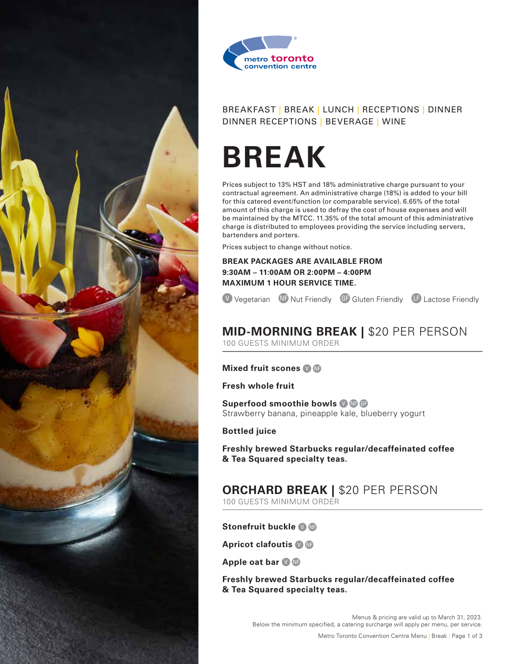



# **BREAK**

Prices subject to 13% HST and 18% administrative charge pursuant to your contractual agreement. An administrative charge (18%) is added to your bill for this catered event/function (or comparable service). 6.65% of the total amount of this charge is used to defray the cost of house expenses and will be maintained by the MTCC. 11.35% of the total amount of this administrative charge is distributed to employees providing the service including servers, bartenders and porters.

Prices subject to change without notice.

**BREAK PACKAGES ARE AVAILABLE FROM 9:30AM – 11:00AM OR 2:00PM – 4:00PM MAXIMUM 1 HOUR SERVICE TIME.**

(V) Vegetarian NF Nut Friendly GF Gluten Friendly LF Lactose Friendly

## **MID-MORNING BREAK |** \$20 PER PERSON 100 GUESTS MINIMUM ORDER

#### **Mixed fruit scones O C**

**Fresh whole fruit**

**Superfood smoothie bowls <sup>O</sup>C** Strawberry banana, pineapple kale, blueberry yogurt

**Bottled juice**

**Freshly brewed Starbucks regular/decaffeinated coffee & Tea Squared specialty teas.**

#### **ORCHARD BREAK |** \$20 PER PERSON 100 GUESTS MINIMUM ORDER

**Stonefruit buckle <sup>0</sup> C** 

**Apricot clafoutis O C** 

**Apple oat bar © C** 

**Freshly brewed Starbucks regular/decaffeinated coffee & Tea Squared specialty teas.**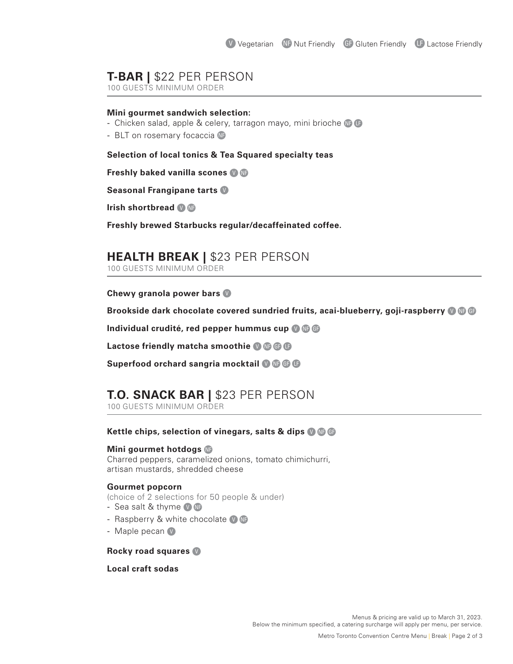## **T-BAR |** \$22 PER PERSON

100 GUESTS MINIMUM ORDER

#### **Mini gourmet sandwich selection:**

- Chicken salad, apple & celery, tarragon mayo, mini brioche  $\mathbf G$
- BLT on rosemary focaccia

#### **Selection of local tonics & Tea Squared specialty teas**

**Freshly baked vanilla scones**  $\bullet$  **C** 

#### **Seasonal Frangipane tarts** D

**Irish shortbread O C** 

**Freshly brewed Starbucks regular/decaffeinated coffee.**

## **HEALTH BREAK |** \$23 PER PERSON

100 GUESTS MINIMUM ORDER

**Chewy granola power bars** 

**Brookside dark chocolate covered sundried fruits, acai-blueberry, goji-raspberry <b>O**G

**Individual crudité, red pepper hummus cup 0 C** 

**Lactose friendly matcha smoothie <sup>1</sup> CB** 

**Superfood orchard sangria mocktail <sup>1</sup> CB** 

## **T.O. SNACK BAR |** \$23 PER PERSON

100 GUESTS MINIMUM ORDER

#### **Kettle chips, selection of vinegars, salts & dips © @ @**

#### **Mini gourmet hotdogs**

Charred peppers, caramelized onions, tomato chimichurri, artisan mustards, shredded cheese

#### **Gourmet popcorn**

(choice of 2 selections for 50 people & under)

- Sea salt  $&$  thyme  $&$   $&$
- Raspberry & white chocolate  $\bullet$
- Maple pecan  $\mathbb{V}$

#### **Rocky road squares** D

#### **Local craft sodas**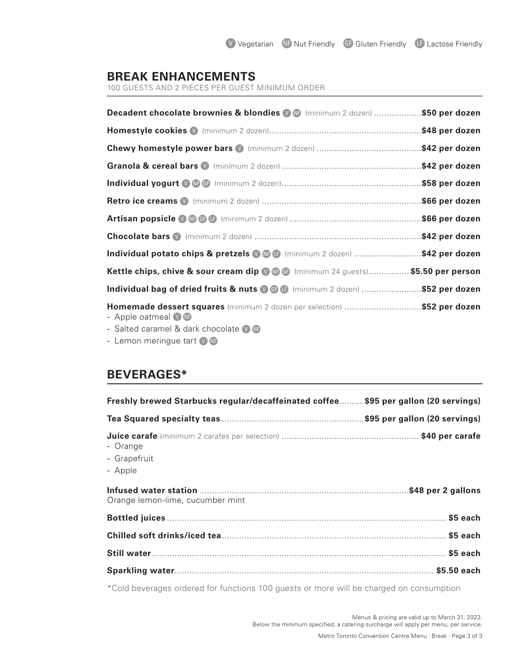## **BREAK ENHANCEMENTS**

100 GUESTS AND 2 PIECES PER GUEST MINIMUM ORDER

| Decadent chocolate brownies & blondies (D (Minimum 2 dozen) \$50 per dozen                                                                          |  |
|-----------------------------------------------------------------------------------------------------------------------------------------------------|--|
|                                                                                                                                                     |  |
|                                                                                                                                                     |  |
|                                                                                                                                                     |  |
|                                                                                                                                                     |  |
|                                                                                                                                                     |  |
|                                                                                                                                                     |  |
|                                                                                                                                                     |  |
| Individual potato chips & pretzels @ @ (minimum 2 dozen) \$42 per dozen                                                                             |  |
| Kettle chips, chive & sour cream dip @ @ (minimum 24 guests) \$5.50 per person                                                                      |  |
| Individual bag of dried fruits & nuts @ . (minimum 2 dozen) \$52 per dozen                                                                          |  |
| Homemade dessert squares (minimum 2 dozen per selection) \$52 per dozen<br>- Apple oatmeal V NP<br>- Salted caramel & dark chocolate $\blacksquare$ |  |

- Lemon meringue tart  $\bullet$ 

## **BEVERAGES\***

| Freshly brewed Starbucks regular/decaffeinated coffee\$95 per gallon (20 servings) |  |
|------------------------------------------------------------------------------------|--|
|                                                                                    |  |
| - Orange<br>- Grapefruit<br>- Apple                                                |  |
| Orange lemon-lime, cucumber mint                                                   |  |
|                                                                                    |  |
|                                                                                    |  |
|                                                                                    |  |
|                                                                                    |  |

\*Cold beverages ordered for functions 100 guests or more will be charged on consumption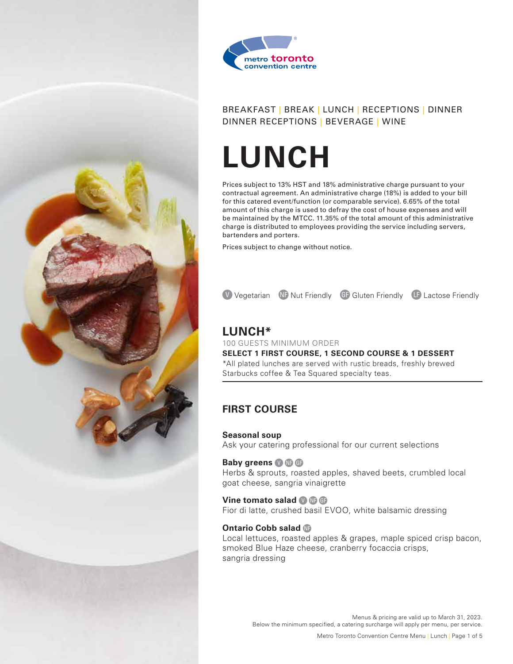



# **LUNCH**

Prices subject to 13% HST and 18% administrative charge pursuant to your contractual agreement. An administrative charge (18%) is added to your bill for this catered event/function (or comparable service). 6.65% of the total amount of this charge is used to defray the cost of house expenses and will be maintained by the MTCC. 11.35% of the total amount of this administrative charge is distributed to employees providing the service including servers, bartenders and porters.

Prices subject to change without notice.

**V** Vegetarian **ND** Nut Friendly **GD** Gluten Friendly **LD** Lactose Friendly

## **LUNCH\***

100 GUESTS MINIMUM ORDER **SELECT 1 FIRST COURSE, 1 SECOND COURSE & 1 DESSERT** \*All plated lunches are served with rustic breads, freshly brewed Starbucks coffee & Tea Squared specialty teas.

## **FIRST COURSE**

#### **Seasonal soup**

Ask your catering professional for our current selections

#### **Baby greens <b>OC**

Herbs & sprouts, roasted apples, shaved beets, crumbled local goat cheese, sangria vinaigrette

#### **Vine tomato salad <sup>O</sup> C**

Fior di latte, crushed basil EVOO, white balsamic dressing

#### **Ontario Cobb salad C**

Local lettuces, roasted apples & grapes, maple spiced crisp bacon, smoked Blue Haze cheese, cranberry focaccia crisps, sangria dressing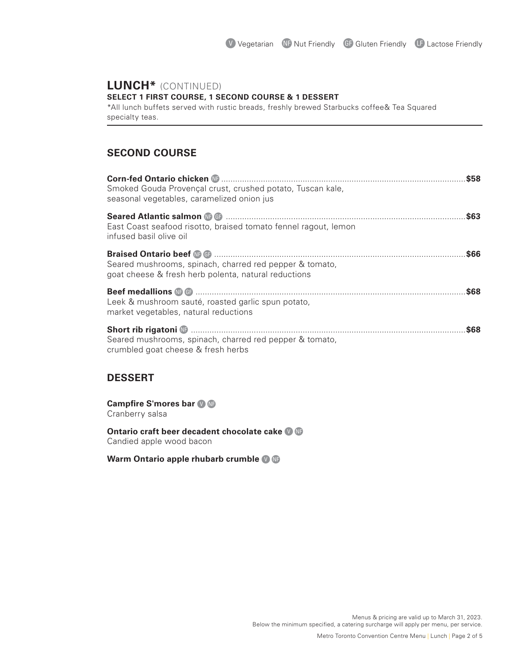# **LUNCH\*** (CONTINUED)

**SELECT 1 FIRST COURSE, 1 SECOND COURSE & 1 DESSERT**

\*All lunch buffets served with rustic breads, freshly brewed Starbucks coffee& Tea Squared specialty teas.

## **SECOND COURSE**

| Smoked Gouda Provençal crust, crushed potato, Tuscan kale,<br>seasonal vegetables, caramelized onion jus        |  |
|-----------------------------------------------------------------------------------------------------------------|--|
| East Coast seafood risotto, braised tomato fennel ragout, lemon<br>infused basil olive oil                      |  |
| Seared mushrooms, spinach, charred red pepper & tomato,<br>goat cheese & fresh herb polenta, natural reductions |  |
| Leek & mushroom sauté, roasted garlic spun potato,<br>market vegetables, natural reductions                     |  |
| Seared mushrooms, spinach, charred red pepper & tomato,<br>crumbled goat cheese & fresh herbs                   |  |

## **DESSERT**

**Campfire S'mores bar**  $\odot$  **<b>C** Cranberry salsa

**Ontario craft beer decadent chocolate cake**  $\bullet$  **G** Candied apple wood bacon

**Warm Ontario apple rhubarb crumble**  $\bullet$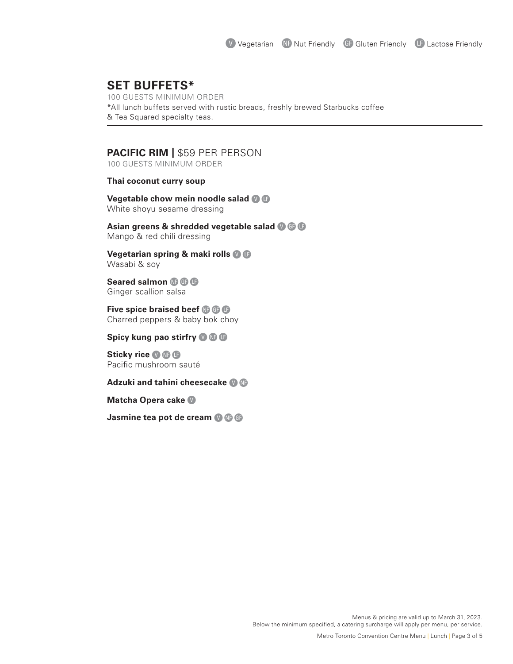## **SET BUFFETS\***

100 GUESTS MINIMUM ORDER \*All lunch buffets served with rustic breads, freshly brewed Starbucks coffee & Tea Squared specialty teas.

### **PACIFIC RIM |** \$59 PER PERSON

100 GUESTS MINIMUM ORDER

#### **Thai coconut curry soup**

**Vegetable chow mein noodle salad @ B** White shoyu sesame dressing

**Asian greens & shredded vegetable salad @ @ B** Mango & red chili dressing

**Vegetarian spring & maki rolls <b>D B** Wasabi & soy

**Seared salmon <b>C**BB Ginger scallion salsa

**Five spice braised beef C**BB Charred peppers & baby bok choy

**Spicy kung pao stirfry @ @ B** 

**Sticky rice OGG** Pacific mushroom sauté

#### **Adzuki and tahini cheesecake O C**

**Matcha Opera cake** D

**Jasmine tea pot de cream <b>OC**G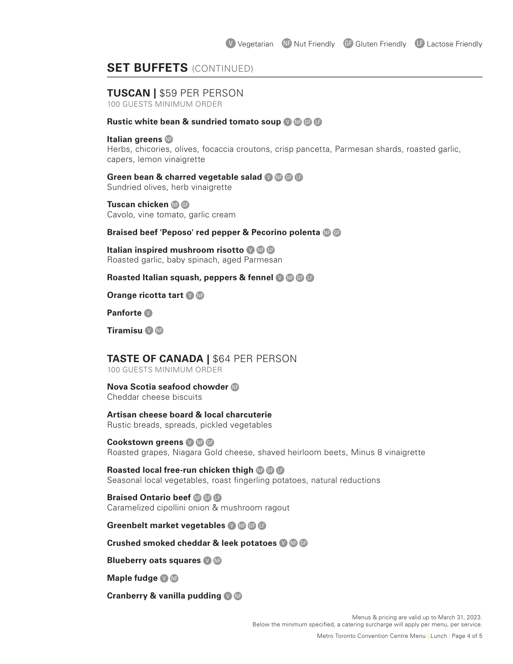## **SET BUFFETS** (CONTINUED)

## **TUSCAN |** \$59 PER PERSON

100 GUESTS MINIMUM ORDER

#### **Rustic white bean & sundried tomato soup <b>OC** C

#### **Italian greens**

Herbs, chicories, olives, focaccia croutons, crisp pancetta, Parmesan shards, roasted garlic, capers, lemon vinaigrette

#### **Green bean & charred vegetable salad @ @ @ G**

Sundried olives, herb vinaigrette

**Tuscan chicken <b>C C** Cavolo, vine tomato, garlic cream

#### **Braised beef 'Peposo' red pepper & Pecorino polenta <b>C C**

**Italian inspired mushroom risotto @@@** Roasted garlic, baby spinach, aged Parmesan

#### **Roasted Italian squash, peppers & fennel @ @ G**

**Orange ricotta tart <b>O** C

**Panforte** D

**Tiramisu D D** 

## **TASTE OF CANADA |** \$64 PER PERSON

100 GUESTS MINIMUM ORDER

#### **Nova Scotia seafood chowder C**

Cheddar cheese biscuits

#### **Artisan cheese board & local charcuterie**

Rustic breads, spreads, pickled vegetables

#### **Cookstown greens <b>O**C<sub>B</sub> Roasted grapes, Niagara Gold cheese, shaved heirloom beets, Minus 8 vinaigrette

**Roasted local free-run chicken thigh <b>C**BB Seasonal local vegetables, roast fingerling potatoes, natural reductions

**Braised Ontario beef <b>CA**BB Caramelized cipollini onion & mushroom ragout

#### **Greenbelt market vegetables <sup>1</sup> CB**

#### **Crushed smoked cheddar & leek potatoes**  $\blacksquare$

**Blueberry oats squares <b>D C** 

**Maple fudge OG** 

**Cranberry & vanilla pudding O C**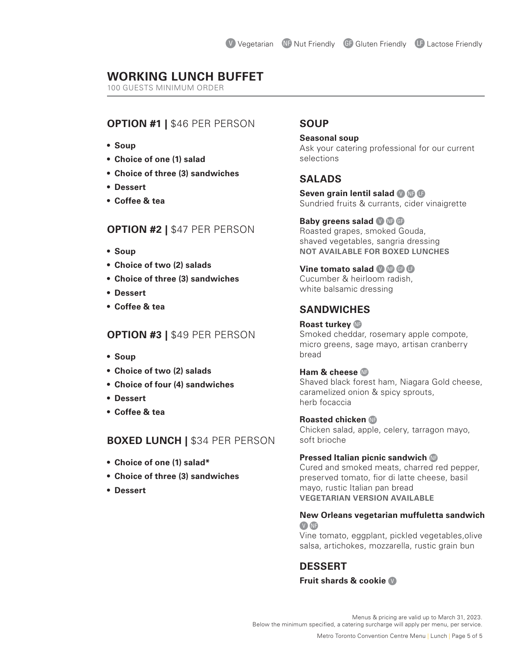## **WORKING LUNCH BUFFET**

100 GUESTS MINIMUM ORDER

## **OPTION #1 |** \$46 PER PERSON

- **• Soup**
- **• Choice of one (1) salad**
- **• Choice of three (3) sandwiches**
- **• Dessert**
- **• Coffee & tea**

## **OPTION #2 |** \$47 PER PERSON

- **• Soup**
- **• Choice of two (2) salads**
- **• Choice of three (3) sandwiches**
- **• Dessert**
- **• Coffee & tea**

## **OPTION #3 |** \$49 PER PERSON

- **• Soup**
- **• Choice of two (2) salads**
- **• Choice of four (4) sandwiches**
- **• Dessert**
- **• Coffee & tea**

#### **BOXED LUNCH |** \$34 PER PERSON

- **• Choice of one (1) salad\***
- **• Choice of three (3) sandwiches**
- **• Dessert**

## **SOUP**

**Seasonal soup** Ask your catering professional for our current selections

## **SALADS**

**Seven grain lentil salad OCB** Sundried fruits & currants, cider vinaigrette

**Baby greens salad <b>OC** Roasted grapes, smoked Gouda, shaved vegetables, sangria dressing **NOT AVAILABLE FOR BOXED LUNCHES**

**Vine tomato salad <b>D C C** Cucumber & heirloom radish, white balsamic dressing

## **SANDWICHES**

**Roast turkey C** Smoked cheddar, rosemary apple compote, micro greens, sage mayo, artisan cranberry bread

#### **Ham & cheese** Shaved black forest ham, Niagara Gold cheese, caramelized onion & spicy sprouts, herb focaccia

## **Roasted chicken C**

Chicken salad, apple, celery, tarragon mayo, soft brioche

#### **Pressed Italian picnic sandwich <b>C**

Cured and smoked meats, charred red pepper, preserved tomato, fior di latte cheese, basil mayo, rustic Italian pan bread **VEGETARIAN VERSION AVAILABLE**

#### **New Orleans vegetarian muffuletta sandwich**  V NF

Vine tomato, eggplant, pickled vegetables,olive salsa, artichokes, mozzarella, rustic grain bun

## **DESSERT**

#### **Fruit shards & cookie** D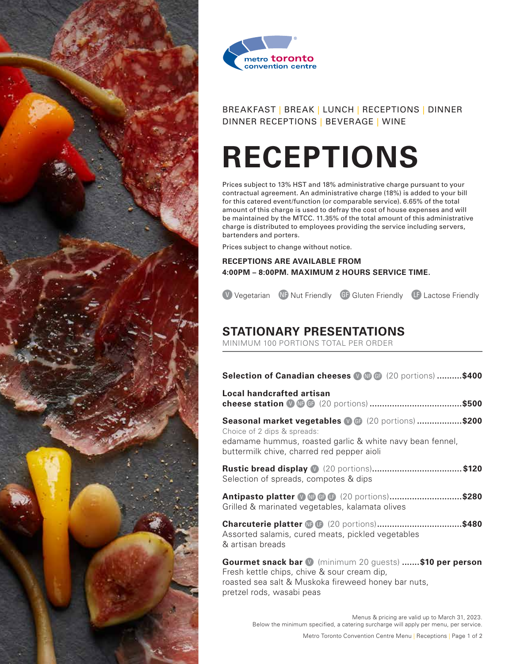



# **RECEPTIONS**

Prices subject to 13% HST and 18% administrative charge pursuant to your contractual agreement. An administrative charge (18%) is added to your bill for this catered event/function (or comparable service). 6.65% of the total amount of this charge is used to defray the cost of house expenses and will be maintained by the MTCC. 11.35% of the total amount of this administrative charge is distributed to employees providing the service including servers, bartenders and porters.

Prices subject to change without notice.

**RECEPTIONS ARE AVAILABLE FROM 4:00PM – 8:00PM. MAXIMUM 2 HOURS SERVICE TIME.**

**V** Vegetarian **ND** Nut Friendly **GD** Gluten Friendly **LD** Lactose Friendly

# **STATIONARY PRESENTATIONS**

MINIMUM 100 PORTIONS TOTAL PER ORDER

| Selection of Canadian cheeses <b>O G G</b> (20 portions) \$400                                                                                                                               |
|----------------------------------------------------------------------------------------------------------------------------------------------------------------------------------------------|
| Local handcrafted artisan                                                                                                                                                                    |
| Seasonal market vegetables (0 G (20 portions) \$200<br>Choice of 2 dips & spreads:<br>edamame hummus, roasted garlic & white navy bean fennel,<br>buttermilk chive, charred red pepper aioli |
| Selection of spreads, compotes & dips                                                                                                                                                        |
| Antipasto platter <b>O G G G</b> (20 portions)\$280<br>Grilled & marinated vegetables, kalamata olives                                                                                       |
| Assorted salamis, cured meats, pickled vegetables<br>& artisan breads                                                                                                                        |
| <b>Gourmet snack bar V</b> (minimum 20 guests) \$10 per person<br>Fresh kettle chips, chive & sour cream dip,                                                                                |

roasted sea salt & Muskoka fireweed honey bar nuts, pretzel rods, wasabi peas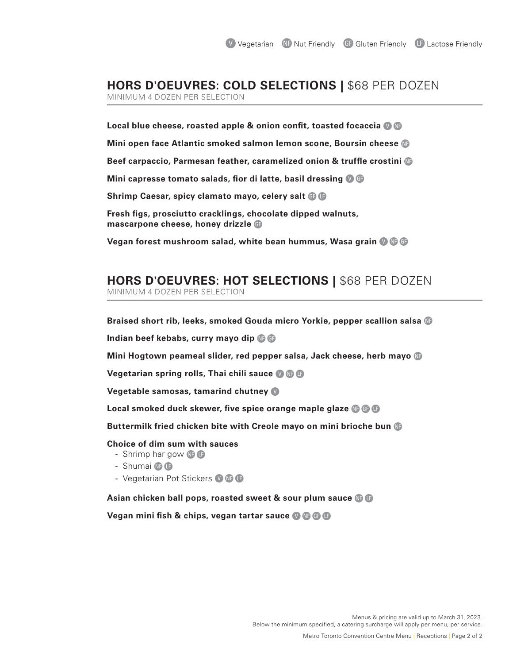# **HORS D'OEUVRES: COLD SELECTIONS |** \$68 PER DOZEN

MINIMUM 4 DOZEN PER SELECTION

**Local blue cheese, roasted apple & onion confit, toasted focaccia** D C **Mini open face Atlantic smoked salmon lemon scone, Boursin cheese Beef carpaccio, Parmesan feather, caramelized onion & truffle crostini Mini capresse tomato salads, fior di latte, basil dressing @ G Shrimp Caesar, spicy clamato mayo, celery salt <b>A** B **Fresh figs, prosciutto cracklings, chocolate dipped walnuts, mascarpone cheese, honey drizzle <b>A** 

**Vegan forest mushroom salad, white bean hummus, Wasa grain** DCA

# **HORS D'OEUVRES: HOT SELECTIONS |** \$68 PER DOZEN

MINIMUM 4 DOZEN PER SELECTION

**Braised short rib, leeks, smoked Gouda micro Yorkie, pepper scallion salsa** C

**Indian beef kebabs, curry mayo dip <b>C C** 

**Mini Hogtown peameal slider, red pepper salsa, Jack cheese, herb mayo** C

**Vegetarian spring rolls, Thai chili sauce @**@G

**Vegetable samosas, tamarind chutney** D

**Local smoked duck skewer, five spice orange maple glaze**  $\mathbf{C}$  $\mathbf{C}$ 

**Buttermilk fried chicken bite with Creole mayo on mini brioche bun** C

#### **Choice of dim sum with sauces**

- Shrimp har gow  $\oplus$   $\oplus$
- $-$  Shumai  $\oplus$   $\oplus$
- Vegetarian Pot Stickers  $\mathbf{v} \oplus \mathbf{G}$

**Asian chicken ball pops, roasted sweet & sour plum sauce C B** 

**Vegan mini fish & chips, vegan tartar sauce © © © ©**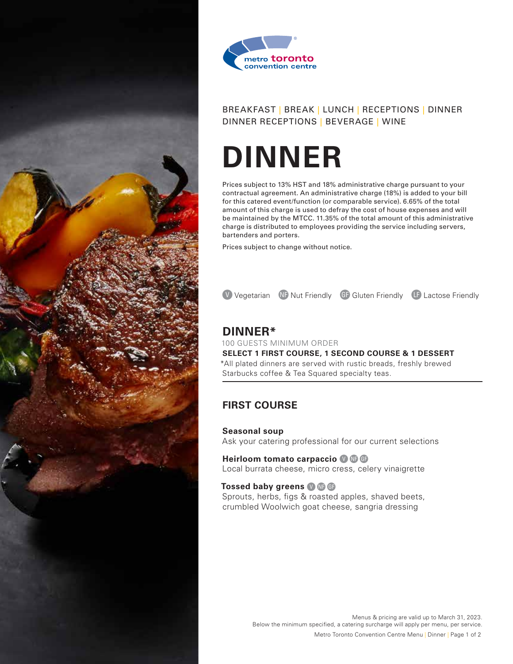



# **DINNER**

Prices subject to 13% HST and 18% administrative charge pursuant to your contractual agreement. An administrative charge (18%) is added to your bill for this catered event/function (or comparable service). 6.65% of the total amount of this charge is used to defray the cost of house expenses and will be maintained by the MTCC. 11.35% of the total amount of this administrative charge is distributed to employees providing the service including servers, bartenders and porters.

Prices subject to change without notice.

**V** Vegetarian ND Nut Friendly GF Gluten Friendly LF Lactose Friendly

## **DINNER\***

100 GUESTS MINIMUM ORDER **SELECT 1 FIRST COURSE, 1 SECOND COURSE & 1 DESSERT** \*All plated dinners are served with rustic breads, freshly brewed Starbucks coffee & Tea Squared specialty teas.

## **FIRST COURSE**

#### **Seasonal soup**

Ask your catering professional for our current selections

**Heirloom tomato carpaccio OC**G Local burrata cheese, micro cress, celery vinaigrette

#### **Tossed baby greens <b>O**CA

Sprouts, herbs, figs & roasted apples, shaved beets, crumbled Woolwich goat cheese, sangria dressing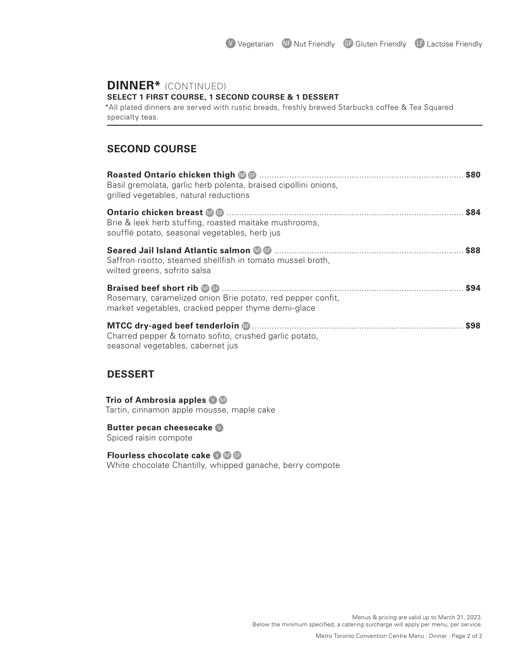# **DINNER\*** (CONTINUED)

**SELECT 1 FIRST COURSE, 1 SECOND COURSE & 1 DESSERT**

\*All plated dinners are served with rustic breads, freshly brewed Starbucks coffee & Tea Squared specialty teas.

## **SECOND COURSE**

| Basil gremolata, garlic herb polenta, braised cipollini onions,<br>grilled vegetables, natural reductions         |      |
|-------------------------------------------------------------------------------------------------------------------|------|
| Brie & leek herb stuffing, roasted maitake mushrooms,<br>soufflé potato, seasonal vegetables, herb jus            | \$84 |
| Saffron risotto, steamed shellfish in tomato mussel broth,<br>wilted greens, sofrito salsa                        |      |
| Rosemary, caramelized onion Brie potato, red pepper confit,<br>market vegetables, cracked pepper thyme demi-glace |      |
| Charred pepper & tomato sofito, crushed garlic potato,<br>seasonal vegetables, cabernet jus                       |      |

# **DESSERT**

#### **Trio of Ambrosia apples**  $\bullet$  **C**

Tartin, cinnamon apple mousse, maple cake

#### **Butter pecan cheesecake** D

Spiced raisin compote

#### **Flourless chocolate cake 0 G**

White chocolate Chantilly, whipped ganache, berry compote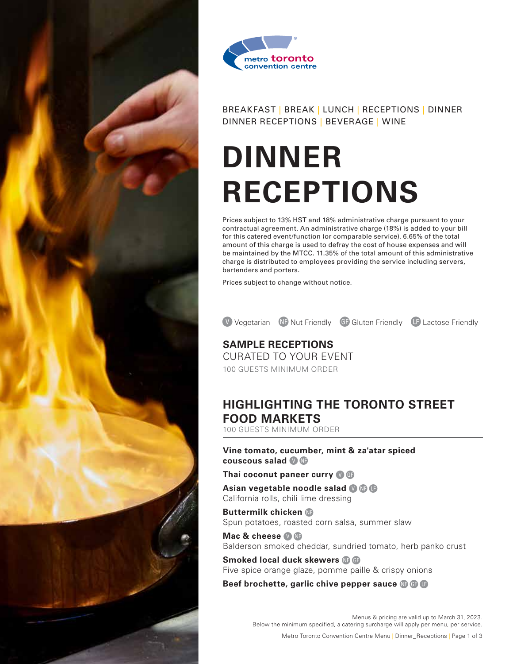



# **DINNER RECEPTIONS**

Prices subject to 13% HST and 18% administrative charge pursuant to your contractual agreement. An administrative charge (18%) is added to your bill for this catered event/function (or comparable service). 6.65% of the total amount of this charge is used to defray the cost of house expenses and will be maintained by the MTCC. 11.35% of the total amount of this administrative charge is distributed to employees providing the service including servers, bartenders and porters.

Prices subject to change without notice.

V Vegetarian NF Nut Friendly GF Gluten Friendly LF Lactose Friendly

**SAMPLE RECEPTIONS** CURATED TO YOUR EVENT 100 GUESTS MINIMUM ORDER

# **HIGHLIGHTING THE TORONTO STREET FOOD MARKETS**

100 GUESTS MINIMUM ORDER

**Vine tomato, cucumber, mint & za'atar spiced couscous salad** D C

**Thai coconut paneer curry O B** 

**Asian vegetable noodle salad @ CB** California rolls, chili lime dressing

**Buttermilk chicken** Spun potatoes, roasted corn salsa, summer slaw

**Mac & cheese <b>D** C Balderson smoked cheddar, sundried tomato, herb panko crust

**Smoked local duck skewers <b>C C** Five spice orange glaze, pomme paille & crispy onions

**Beef brochette, garlic chive pepper sauce CBB** 

Menus & pricing are valid up to March 31, 2023. Below the minimum specified, a catering surcharge will apply per menu, per service.

Metro Toronto Convention Centre Menu | Dinner\_Receptions | Page 1 of 3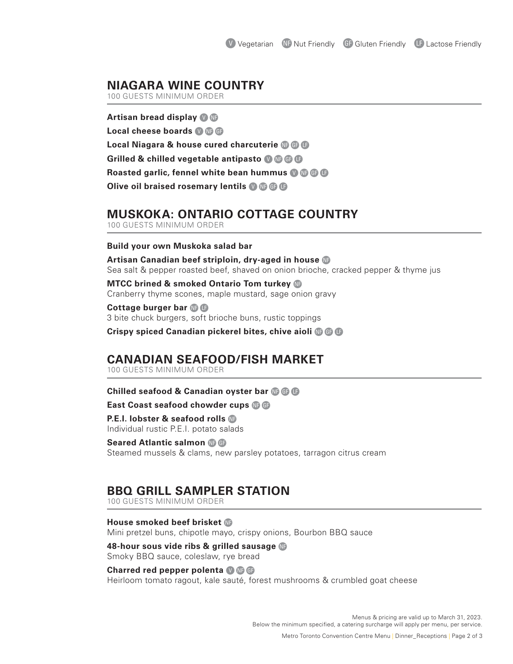## **NIAGARA WINE COUNTRY**

100 GUESTS MINIMUM ORDER

**Artisan bread display <b>O** C Local cheese boards **OC C**B **Local Niagara & house cured charcuterie <b>C**BB **Grilled & chilled vegetable antipasto @ @ @ G Roasted garlic, fennel white bean hummus <b>O** C C **Olive oil braised rosemary lentils <b>OC** B

## **MUSKOKA: ONTARIO COTTAGE COUNTRY**

100 GUESTS MINIMUM ORDER

#### **Build your own Muskoka salad bar**

**Artisan Canadian beef striploin, dry-aged in house**  $\mathbb{G}$ Sea salt & pepper roasted beef, shaved on onion brioche, cracked pepper & thyme jus

**MTCC brined & smoked Ontario Tom turkey** Cranberry thyme scones, maple mustard, sage onion gravy

**Cottage burger bar <b>C C** 3 bite chuck burgers, soft brioche buns, rustic toppings

**Crispy spiced Canadian pickerel bites, chive aioli @ @ D** 

## **CANADIAN SEAFOOD/FISH MARKET**

100 GUESTS MINIMUM ORDER

#### **Chilled seafood & Canadian oyster bar CB**

**East Coast seafood chowder cups <b>C C** 

**P.E.I. lobster & seafood rolls** Individual rustic P.E.I. potato salads

**Seared Atlantic salmon @ @** Steamed mussels & clams, new parsley potatoes, tarragon citrus cream

## **BBQ GRILL SAMPLER STATION**

100 GUESTS MINIMUM ORDER

**House smoked beef brisket C** Mini pretzel buns, chipotle mayo, crispy onions, Bourbon BBQ sauce

**48-hour sous vide ribs & grilled sausage** Smoky BBQ sauce, coleslaw, rye bread

#### **Charred red pepper polenta <b>OC**

Heirloom tomato ragout, kale sauté, forest mushrooms & crumbled goat cheese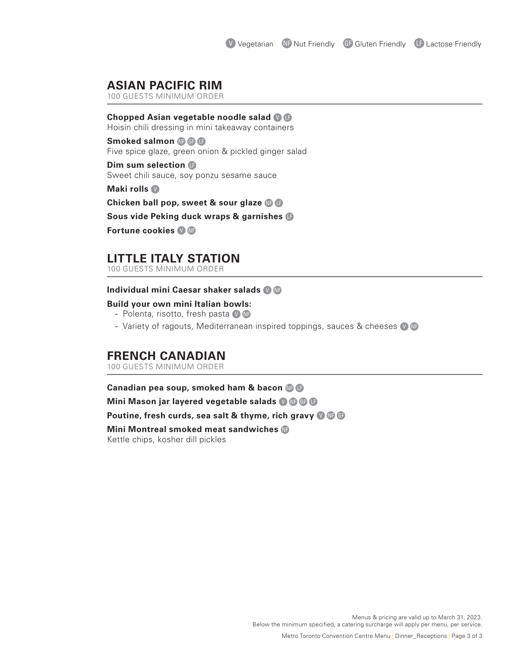## **ASIAN PACIFIC RIM**

100 GUESTS MINIMUM ORDER

#### **Chopped Asian vegetable noodle salad** D B

Hoisin chili dressing in mini takeaway containers

**Smoked salmon @ @ C** Five spice glaze, green onion & pickled ginger salad

**Dim sum selection** B Sweet chili sauce, soy ponzu sesame sauce

**Maki rolls** 

**Chicken ball pop, sweet & sour glaze @ B** 

**Sous vide Peking duck wraps & garnishes** B

**Fortune cookies**  $\mathbf{\odot}$ 

## **LITTLE ITALY STATION**

100 GUESTS MINIMUM ORDER

#### **Individual mini Caesar shaker salads O C**

#### **Build your own mini Italian bowls:**

- Polenta, risotto, fresh pasta  $\bullet$   $\bullet$
- Variety of ragouts, Mediterranean inspired toppings, sauces & cheeses  $\bullet$  G

## **FRENCH CANADIAN**

100 GUESTS MINIMUM ORDER

**Canadian pea soup, smoked ham & bacon C B** 

**Mini Mason jar layered vegetable salads <sup>O</sup>CB** 

**Poutine, fresh curds, sea salt & thyme, rich gravy OGG** 

**Mini Montreal smoked meat sandwiches** Kettle chips, kosher dill pickles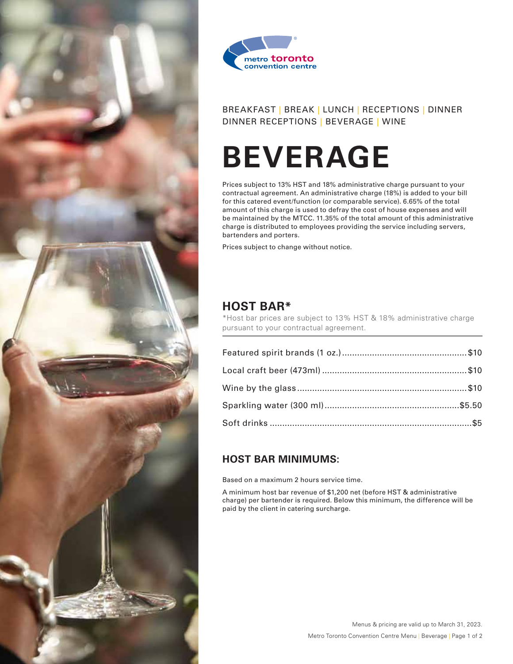



# **BEVERAGE**

Prices subject to 13% HST and 18% administrative charge pursuant to your contractual agreement. An administrative charge (18%) is added to your bill for this catered event/function (or comparable service). 6.65% of the total amount of this charge is used to defray the cost of house expenses and will be maintained by the MTCC. 11.35% of the total amount of this administrative charge is distributed to employees providing the service including servers, bartenders and porters.

Prices subject to change without notice.

## **HOST BAR\***

\*Host bar prices are subject to 13% HST & 18% administrative charge pursuant to your contractual agreement.

## **HOST BAR MINIMUMS:**

Based on a maximum 2 hours service time.

A minimum host bar revenue of \$1,200 net (before HST & administrative charge) per bartender is required. Below this minimum, the difference will be paid by the client in catering surcharge.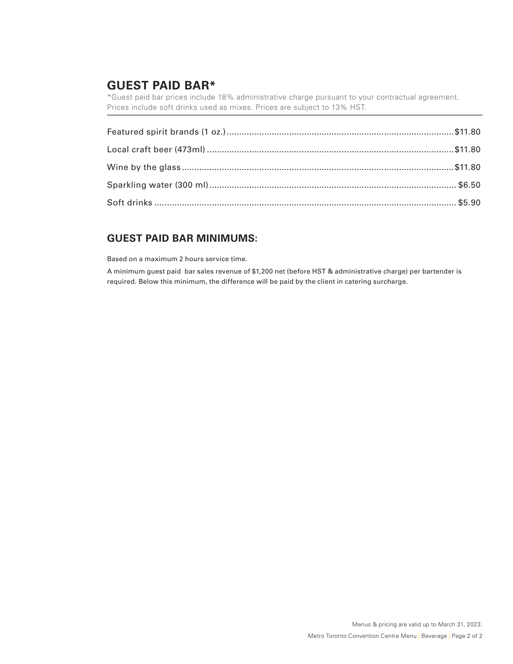## **GUEST PAID BAR\***

\*Guest paid bar prices include 18% administrative charge pursuant to your contractual agreement. Prices include soft drinks used as mixes. Prices are subject to 13% HST.

## **GUEST PAID BAR MINIMUMS:**

Based on a maximum 2 hours service time.

A minimum guest paid bar sales revenue of \$1,200 net (before HST & administrative charge) per bartender is required. Below this minimum, the difference will be paid by the client in catering surcharge.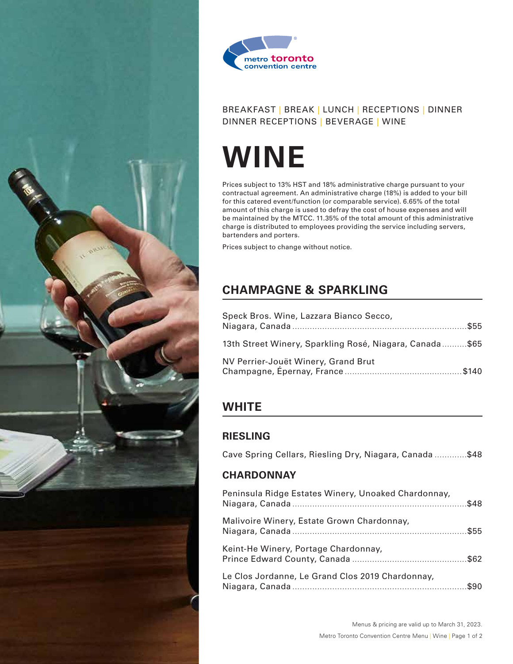



# **WINE**

Prices subject to 13% HST and 18% administrative charge pursuant to your contractual agreement. An administrative charge (18%) is added to your bill for this catered event/function (or comparable service). 6.65% of the total amount of this charge is used to defray the cost of house expenses and will be maintained by the MTCC. 11.35% of the total amount of this administrative charge is distributed to employees providing the service including servers, bartenders and porters.

Prices subject to change without notice.

# **CHAMPAGNE & SPARKLING**

| Speck Bros. Wine, Lazzara Bianco Secco,                 |  |
|---------------------------------------------------------|--|
| 13th Street Winery, Sparkling Rosé, Niagara, Canada\$65 |  |
| NV Perrier-Jouët Winery, Grand Brut                     |  |

# **WHITE**

## **RIESLING**

|  |  |  | Cave Spring Cellars, Riesling Dry, Niagara, Canada \$48 |
|--|--|--|---------------------------------------------------------|
|  |  |  |                                                         |

## **CHARDONNAY**

| Peninsula Ridge Estates Winery, Unoaked Chardonnay, |  |
|-----------------------------------------------------|--|
| Malivoire Winery, Estate Grown Chardonnay,          |  |
| Keint-He Winery, Portage Chardonnay,                |  |
| Le Clos Jordanne, Le Grand Clos 2019 Chardonnay,    |  |